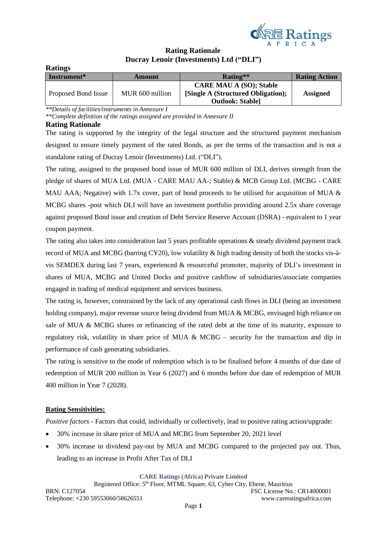

# **Rating Rationale Ducray Lenoir (Investments) Ltd ("DLI")**

| Raumgs              |                 |                                    |                      |
|---------------------|-----------------|------------------------------------|----------------------|
| Instrument*         | Amount          | Rating**                           | <b>Rating Action</b> |
|                     |                 | <b>CARE MAU A (SO); Stable</b>     |                      |
| Proposed Bond Issue | MUR 600 million | [Single A (Structured Obligation); | <b>Assigned</b>      |
|                     |                 | <b>Outlook: Stable]</b>            |                      |

*\*\*Details of facilities/instruments in Annexure I*

*\*\*Complete definition of the ratings assigned are provided in Annexure II*

#### **Rating Rationale**

**Ratings**

The rating is supported by the integrity of the legal structure and the structured payment mechanism designed to ensure timely payment of the rated Bonds, as per the terms of the transaction and is not a standalone rating of Ducray Lenoir (Investments) Ltd. ("DLI").

The rating, assigned to the proposed bond issue of MUR 600 million of DLI, derives strength from the pledge of shares of MUA Ltd. (MUA - CARE MAU AA-; Stable) & MCB Group Ltd. (MCBG - CARE MAU AAA; Negative) with 1.7x cover, part of bond proceeds to be utilised for acquisition of MUA & MCBG shares -post which DLI will have an investment portfolio providing around 2.5x share coverage against proposed Bond issue and creation of Debt Service Reserve Account (DSRA) - equivalent to 1 year coupon payment.

The rating also takes into consideration last 5 years profitable operations & steady dividend payment track record of MUA and MCBG (barring CY20), low volatility & high trading density of both the stocks vis-àvis SEMDEX during last 7 years, experienced & resourceful promoter, majority of DLI's investment in shares of MUA, MCBG and United Docks and positive cashflow of subsidiaries/associate companies engaged in trading of medical equipment and services business.

The rating is, however, constrained by the lack of any operational cash flows in DLI (being an investment holding company), major revenue source being dividend from MUA & MCBG, envisaged high reliance on sale of MUA & MCBG shares or refinancing of the rated debt at the time of its maturity, exposure to regulatory risk, volatility in share price of MUA & MCBG – security for the transaction and dip in performance of cash generating subsidiaries.

The rating is sensitive to the mode of redemption which is to be finalised before 4 months of due date of redemption of MUR 200 million in Year 6 (2027) and 6 months before due date of redemption of MUR 400 million in Year 7 (2028).

### **Rating Sensitivities:**

*Positive factors* - Factors that could, individually or collectively, lead to positive rating action/upgrade:

- 30% increase in share price of MUA and MCBG from September 20, 2021 level
- 30% increase in dividend pay-out by MUA and MCBG compared to the projected pay out. Thus, leading to an increase in Profit After Tax of DLI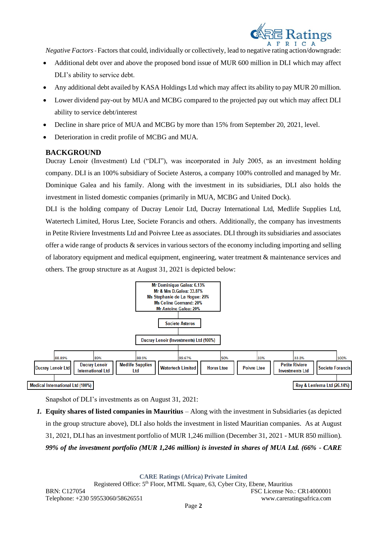

*Negative Factors-* Factors that could, individually or collectively, lead to negative rating action/downgrade:

- Additional debt over and above the proposed bond issue of MUR 600 million in DLI which may affect DLI's ability to service debt.
- Any additional debt availed by KASA Holdings Ltd which may affect its ability to pay MUR 20 million.
- Lower dividend pay-out by MUA and MCBG compared to the projected pay out which may affect DLI ability to service debt/interest
- Decline in share price of MUA and MCBG by more than 15% from September 20, 2021, level.
- Deterioration in credit profile of MCBG and MUA.

## **BACKGROUND**

Ducray Lenoir (Investment) Ltd ("DLI"), was incorporated in July 2005, as an investment holding company. DLI is an 100% subsidiary of Societe Asteros, a company 100% controlled and managed by Mr. Dominique Galea and his family. Along with the investment in its subsidiaries, DLI also holds the investment in listed domestic companies (primarily in MUA, MCBG and United Dock).

DLI is the holding company of Ducray Lenoir Ltd, Ducray International Ltd, Medlife Supplies Ltd, Watertech Limited, Horus Ltee, Societe Forancis and others. Additionally, the company has investments in Petite Riviere Investments Ltd and Poivree Ltee as associates. DLI through its subsidiaries and associates offer a wide range of products & services in various sectors of the economy including importing and selling of laboratory equipment and medical equipment, engineering, water treatment & maintenance services and others. The group structure as at August 31, 2021 is depicted below:



Snapshot of DLI's investments as on August 31, 2021:

*1.* **Equity shares of listed companies in Mauritius** – Along with the investment in Subsidiaries (as depicted in the group structure above), DLI also holds the investment in listed Mauritian companies. As at August 31, 2021, DLI has an investment portfolio of MUR 1,246 million (December 31, 2021 - MUR 850 million). *99% of the investment portfolio (MUR 1,246 million) is invested in shares of MUA Ltd. (66% - CARE*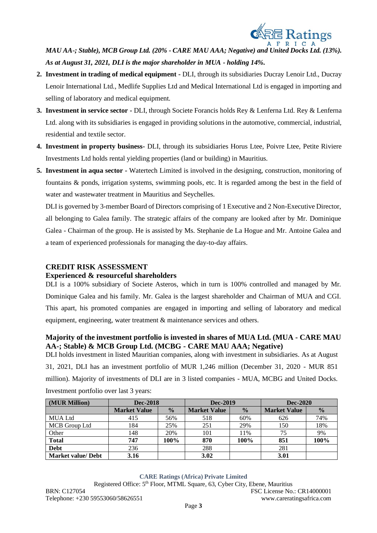

*MAU AA-; Stable), MCB Group Ltd. (20% - CARE MAU AAA; Negative) and United Docks Ltd. (13%). As at August 31, 2021, DLI is the major shareholder in MUA - holding 14%.* 

- **2. Investment in trading of medical equipment -** DLI, through its subsidiaries Ducray Lenoir Ltd., Ducray Lenoir International Ltd., Medlife Supplies Ltd and Medical International Ltd is engaged in importing and selling of laboratory and medical equipment.
- **3. Investment in service sector -** DLI, through Societe Forancis holds Rey & Lenferna Ltd. Rey & Lenferna Ltd. along with its subsidiaries is engaged in providing solutions in the automotive, commercial, industrial, residential and textile sector.
- **4. Investment in property business-** DLI, through its subsidiaries Horus Ltee, Poivre Ltee, Petite Riviere Investments Ltd holds rental yielding properties (land or building) in Mauritius.
- **5. Investment in aqua sector -** Watertech Limited is involved in the designing, construction, monitoring of fountains & ponds, irrigation systems, swimming pools, etc. It is regarded among the best in the field of water and wastewater treatment in Mauritius and Seychelles.

DLI is governed by 3-member Board of Directors comprising of 1 Executive and 2 Non-Executive Director, all belonging to Galea family. The strategic affairs of the company are looked after by Mr. Dominique Galea - Chairman of the group. He is assisted by Ms. Stephanie de La Hogue and Mr. Antoine Galea and a team of experienced professionals for managing the day-to-day affairs.

# **CREDIT RISK ASSESSMENT**

### **Experienced & resourceful shareholders**

DLI is a 100% subsidiary of Societe Asteros, which in turn is 100% controlled and managed by Mr. Dominique Galea and his family. Mr. Galea is the largest shareholder and Chairman of MUA and CGI. This apart, his promoted companies are engaged in importing and selling of laboratory and medical equipment, engineering, water treatment & maintenance services and others.

# **Majority of the investment portfolio is invested in shares of MUA Ltd. (MUA - CARE MAU AA-; Stable) & MCB Group Ltd. (MCBG - CARE MAU AAA; Negative)**

DLI holds investment in listed Mauritian companies, along with investment in subsidiaries. As at August 31, 2021, DLI has an investment portfolio of MUR 1,246 million (December 31, 2020 - MUR 851 million). Majority of investments of DLI are in 3 listed companies - MUA, MCBG and United Docks. Investment portfolio over last 3 years:

| (MUR Million)             | <b>Dec-2018</b>     |               | Dec-2019            |               | <b>Dec-2020</b>     |               |
|---------------------------|---------------------|---------------|---------------------|---------------|---------------------|---------------|
|                           | <b>Market Value</b> | $\frac{0}{0}$ | <b>Market Value</b> | $\frac{0}{0}$ | <b>Market Value</b> | $\frac{0}{0}$ |
| <b>MUA Ltd</b>            | 415                 | 56%           | 518                 | 60%           | 626                 | 74%           |
| MCB Group Ltd             | 184                 | 25%           | 251                 | 29%           | 150                 | 18%           |
| Other                     | 148                 | 20%           | 101                 | 11%           | 75                  | 9%            |
| <b>Total</b>              | 747                 | 100%          | 870                 | 100%          | 851                 | 100%          |
| <b>Debt</b>               | 236                 |               | 288                 |               | 281                 |               |
| <b>Market value/ Debt</b> | 3.16                |               | 3.02                |               | 3.01                |               |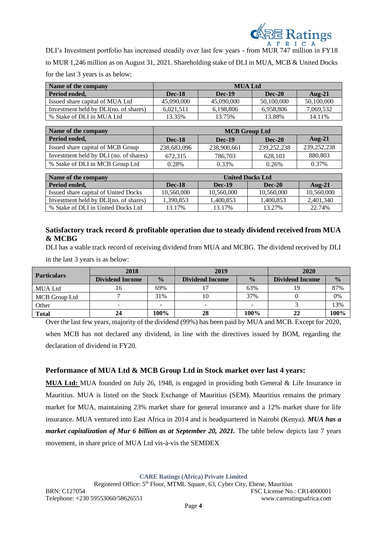

DLI's Investment portfolio has increased steadily over last few years - from MUR 747 million in FY18 to MUR 1,246 million as on August 31, 2021. Shareholding stake of DLI in MUA, MCB & United Docks for the last 3 years is as below:

| Name of the company                   | <b>MUA Ltd</b> |               |               |            |  |  |
|---------------------------------------|----------------|---------------|---------------|------------|--|--|
| Period ended,                         | <b>Dec-18</b>  | <b>Dec-19</b> | <b>Dec-20</b> | Aug- $21$  |  |  |
| Issued share capital of MUA Ltd       | 45,090,000     | 45,090,000    | 50,100,000    | 50,100,000 |  |  |
| Investment held by DLI(no. of shares) | 6.021.511      | 6,198,806     | 6,958,806     | 7,069,532  |  |  |
| % Stake of DLI in MUA Ltd             | 13.35%         | 13.75%        | 13.88%        | 14.11%     |  |  |

| Name of the company                    | <b>MCB</b> Group Ltd |               |               |             |  |  |
|----------------------------------------|----------------------|---------------|---------------|-------------|--|--|
| Period ended,                          | <b>Dec-18</b>        | <b>Dec-19</b> | <b>Dec-20</b> | Aug- $21$   |  |  |
| Issued share capital of MCB Group      | 238.683.096          | 238,900,661   | 239, 252, 238 | 239,252,238 |  |  |
| Investment held by DLI (no. of shares) | 672.315              | 786,703       | 628,103       | 880,803     |  |  |
| % Stake of DLI in MCB Group Ltd        | 0.28%                | 0.33%         | 0.26%         | 0.37%       |  |  |

| Name of the company                   | <b>United Docks Ltd</b> |            |               |            |  |  |
|---------------------------------------|-------------------------|------------|---------------|------------|--|--|
| Period ended.                         | <b>Dec-18</b>           | Dec-19     | <b>Dec-20</b> | Aug- $21$  |  |  |
| Issued share capital of United Docks  | 10.560,000              | 10.560,000 | 10.560,000    | 10,560,000 |  |  |
| Investment held by DLI(no. of shares) | 1.390.853               | .400.853   | 1.400.853     | 2.401.340  |  |  |
| % Stake of DLI in United Docks Ltd    | 13.17%                  | 13.17%     | 13.27%        | 22.74%     |  |  |

## **Satisfactory track record & profitable operation due to steady dividend received from MUA & MCBG**

DLI has a stable track record of receiving dividend from MUA and MCBG. The dividend received by DLI

in the last 3 years is as below:

| <b>Particulars</b> | 2018                   |               | 2019                   |               | 2020                   |               |
|--------------------|------------------------|---------------|------------------------|---------------|------------------------|---------------|
|                    | <b>Dividend Income</b> | $\frac{0}{0}$ | <b>Dividend Income</b> | $\frac{0}{0}$ | <b>Dividend Income</b> | $\frac{0}{0}$ |
| <b>MUA Ltd</b>     | 16                     | 69%           |                        | 63%           |                        | 87%           |
| MCB Group Ltd      |                        | 31%           | 10                     | 37%           |                        | 0%            |
| Other              | -                      |               |                        |               |                        | 13%           |
| <b>Total</b>       | 24                     | 100%          | 28                     | 100%          | 22                     | 100%          |

Over the last few years, majority of the dividend (99%) has been paid by MUA and MCB. Except for 2020, when MCB has not declared any dividend, in line with the directives issued by BOM, regarding the declaration of dividend in FY20.

# **Performance of MUA Ltd & MCB Group Ltd in Stock market over last 4 years:**

**MUA Ltd:** MUA founded on July 26, 1948, is engaged in providing both General & Life Insurance in Mauritius. MUA is listed on the Stock Exchange of Mauritius (SEM). Mauritius remains the primary market for MUA, maintaining 23% market share for general insurance and a 12% market share for life insurance. MUA ventured into East Africa in 2014 and is headquartered in Nairobi (Kenya). *MUA has a market capitalization of Mur 6 billion as at September 20, 2021*. The table below depicts last 7 years movement, in share price of MUA Ltd vis-à-vis the SEMDEX

**CARE Ratings (Africa) Private Limited**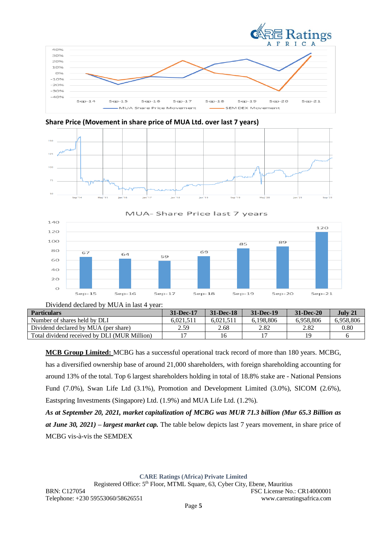







MUA- Share Price last 7 years

| $Sep-15$ | $Sep-16$                                         | $Sep-17$ | S, |
|----------|--------------------------------------------------|----------|----|
|          | Dividend declared by MIIA in last $\Delta$ year. |          |    |

| $Div$ igenti dechared o $v_i$ ivi $U_i$ r in hast $\pi$ year. |           |               |           |               |           |
|---------------------------------------------------------------|-----------|---------------|-----------|---------------|-----------|
| <b>Particulars</b>                                            | 31-Dec-17 | $31 - Dec-18$ | 31-Dec-19 | $31 - Dec-20$ | July 21   |
| Number of shares held by DLI                                  | 6.021.511 | 6.021.511     | 6.198.806 | 6.958.806     | 6.958.806 |
| Dividend declared by MUA (per share)                          | 2.59      | 2.68          | 2.82      | 2.82          | 0.80      |
| Total dividend received by DLI (MUR Million)                  |           | 16            |           | 1 Q           |           |

**MCB Group Limited:** MCBG has a successful operational track record of more than 180 years. MCBG, has a diversified ownership base of around 21,000 shareholders, with foreign shareholding accounting for around 13% of the total. Top 6 largest shareholders holding in total of 18.8% stake are - National Pensions Fund (7.0%), Swan Life Ltd (3.1%), Promotion and Development Limited (3.0%), SICOM (2.6%), Eastspring Investments (Singapore) Ltd. (1.9%) and MUA Life Ltd. (1.2%).

*As at September 20, 2021, market capitalization of MCBG was MUR 71.3 billion (Mur 65.3 Billion as at June 30, 2021) – largest market cap.* The table below depicts last 7 years movement, in share price of MCBG vis-à-vis the SEMDEX

**CARE Ratings (Africa) Private Limited**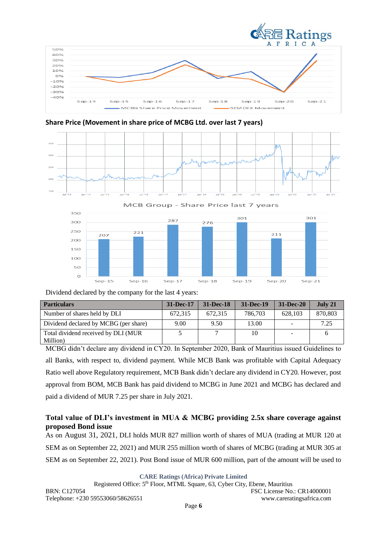

**Share Price (Movement in share price of MCBG Ltd. over last 7 years)**





Dividend declared by the company for the last 4 years:

| <b>Particulars</b>                              | 31-Dec-17 | $31 - Dec-18$ | 31-Dec-19 | $31 - Dec-20$ | July 21 |
|-------------------------------------------------|-----------|---------------|-----------|---------------|---------|
| Number of shares held by DLI                    | 672.315   | 672.315       | 786,703   | 628.103       | 870,803 |
| Dividend declared by MCBG (per share)           | 9.00      | 9.50          | 13.00     |               | 7.25    |
| Total dividend received by DLI (MUR<br>Million) |           |               | 10        |               |         |

MCBG didn't declare any dividend in CY20. In September 2020, Bank of Mauritius issued Guidelines to all Banks, with respect to, dividend payment. While MCB Bank was profitable with Capital Adequacy Ratio well above Regulatory requirement, MCB Bank didn't declare any dividend in CY20. However, post approval from BOM, MCB Bank has paid dividend to MCBG in June 2021 and MCBG has declared and paid a dividend of MUR 7.25 per share in July 2021.

# **Total value of DLI's investment in MUA & MCBG providing 2.5x share coverage against proposed Bond issue**

As on August 31, 2021, DLI holds MUR 827 million worth of shares of MUA (trading at MUR 120 at SEM as on September 22, 2021) and MUR 255 million worth of shares of MCBG (trading at MUR 305 at SEM as on September 22, 2021). Post Bond issue of MUR 600 million, part of the amount will be used to

**CARE Ratings (Africa) Private Limited**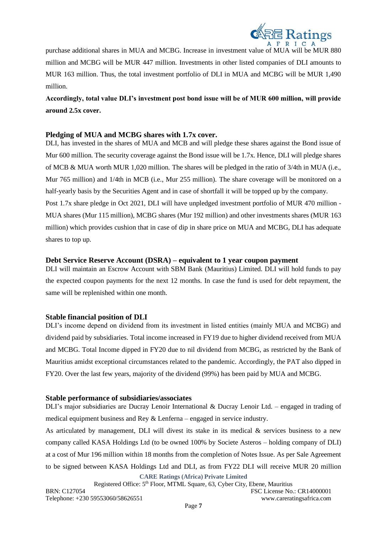

purchase additional shares in MUA and MCBG. Increase in investment value of MUA will be MUR 880 million and MCBG will be MUR 447 million. Investments in other listed companies of DLI amounts to MUR 163 million. Thus, the total investment portfolio of DLI in MUA and MCBG will be MUR 1,490 million.

**Accordingly, total value DLI's investment post bond issue will be of MUR 600 million, will provide around 2.5x cover.** 

## **Pledging of MUA and MCBG shares with 1.7x cover.**

DLI, has invested in the shares of MUA and MCB and will pledge these shares against the Bond issue of Mur 600 million. The security coverage against the Bond issue will be 1.7x. Hence, DLI will pledge shares of MCB & MUA worth MUR 1,020 million. The shares will be pledged in the ratio of 3/4th in MUA (i.e., Mur 765 million) and 1/4th in MCB (i.e., Mur 255 million). The share coverage will be monitored on a half-yearly basis by the Securities Agent and in case of shortfall it will be topped up by the company. Post 1.7x share pledge in Oct 2021, DLI will have unpledged investment portfolio of MUR 470 million - MUA shares (Mur 115 million), MCBG shares (Mur 192 million) and other investments shares (MUR 163 million) which provides cushion that in case of dip in share price on MUA and MCBG, DLI has adequate shares to top up.

## **Debt Service Reserve Account (DSRA) – equivalent to 1 year coupon payment**

DLI will maintain an Escrow Account with SBM Bank (Mauritius) Limited. DLI will hold funds to pay the expected coupon payments for the next 12 months. In case the fund is used for debt repayment, the same will be replenished within one month.

### **Stable financial position of DLI**

DLI's income depend on dividend from its investment in listed entities (mainly MUA and MCBG) and dividend paid by subsidiaries. Total income increased in FY19 due to higher dividend received from MUA and MCBG. Total Income dipped in FY20 due to nil dividend from MCBG, as restricted by the Bank of Mauritius amidst exceptional circumstances related to the pandemic. Accordingly, the PAT also dipped in FY20. Over the last few years, majority of the dividend (99%) has been paid by MUA and MCBG.

### **Stable performance of subsidiaries/associates**

DLI's major subsidiaries are Ducray Lenoir International & Ducray Lenoir Ltd. – engaged in trading of medical equipment business and Rey & Lenferna – engaged in service industry.

**CARE Ratings (Africa) Private Limited** As articulated by management, DLI will divest its stake in its medical  $\&$  services business to a new company called KASA Holdings Ltd (to be owned 100% by Societe Asteros – holding company of DLI) at a cost of Mur 196 million within 18 months from the completion of Notes Issue. As per Sale Agreement to be signed between KASA Holdings Ltd and DLI, as from FY22 DLI will receive MUR 20 million

Registered Office: 5<sup>th</sup> Floor, MTML Square, 63, Cyber City, Ebene, Mauritius BRN: C127054 FSC License No.: CR14000001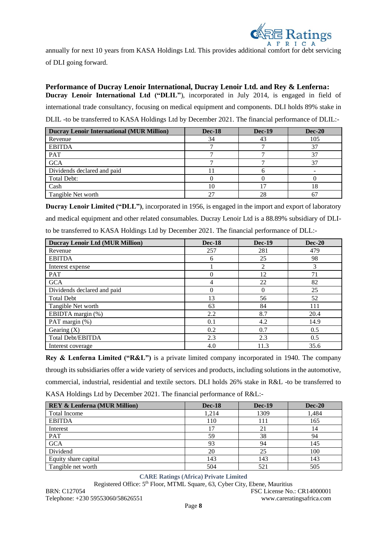

annually for next 10 years from KASA Holdings Ltd. This provides additional comfort for debt servicing of DLI going forward.

**Performance of Ducray Lenoir International, Ducray Lenoir Ltd. and Rey & Lenferna: Ducray Lenoir International Ltd ("DLIL"**), incorporated in July 2014, is engaged in field of international trade consultancy, focusing on medical equipment and components. DLI holds 89% stake in DLIL -to be transferred to KASA Holdings Ltd by December 2021. The financial performance of DLIL:-

| <b>Ducray Lenoir International (MUR Million)</b> | <b>Dec-18</b> | <b>Dec-19</b> | <b>Dec-20</b> |
|--------------------------------------------------|---------------|---------------|---------------|
| Revenue                                          | 34            | 43            | 105           |
| <b>EBITDA</b>                                    |               |               | 37            |
| PAT                                              |               |               |               |
| <b>GCA</b>                                       |               |               | 37            |
| Dividends declared and paid                      |               |               |               |
| Total Debt:                                      |               |               |               |
| Cash                                             | 10            |               | 18            |
| Tangible Net worth                               |               |               |               |

**Ducray Lenoir Limited ("DLL")**, incorporated in 1956, is engaged in the import and export of laboratory and medical equipment and other related consumables. Ducray Lenoir Ltd is a 88.89% subsidiary of DLIto be transferred to KASA Holdings Ltd by December 2021. The financial performance of DLL:-

| <b>Ducray Lenoir Ltd (MUR Million)</b> | <b>Dec-18</b> | <b>Dec-19</b> | $Dec-20$ |
|----------------------------------------|---------------|---------------|----------|
| Revenue                                | 257           | 281           | 479      |
| <b>EBITDA</b>                          | 6             | 25            | 98       |
| Interest expense                       |               | 2             | 3        |
| <b>PAT</b>                             | 0             | 12            | 71       |
| <b>GCA</b>                             | 4             | 22            | 82       |
| Dividends declared and paid            | 0             | $\theta$      | 25       |
| <b>Total Debt</b>                      | 13            | 56            | 52       |
| Tangible Net worth                     | 63            | 84            | 111      |
| EBIDTA margin (%)                      | 2.2           | 8.7           | 20.4     |
| PAT margin (%)                         | 0.1           | 4.2           | 14.9     |
| Gearing $(X)$                          | 0.2           | 0.7           | 0.5      |
| <b>Total Debt/EBITDA</b>               | 2.3           | 2.3           | 0.5      |
| Interest coverage                      | 4.0           | 11.3          | 35.6     |

**Rey & Lenferna Limited ("R&L")** is a private limited company incorporated in 1940. The company through its subsidiaries offer a wide variety of services and products, including solutions in the automotive, commercial, industrial, residential and textile sectors. DLI holds 26% stake in R&L -to be transferred to KASA Holdings Ltd by December 2021. The financial performance of R&L:-

| <b>REY &amp; Lenferna (MUR Million)</b> | <b>Dec-18</b> | <b>Dec-19</b> | <b>Dec-20</b> |
|-----------------------------------------|---------------|---------------|---------------|
| <b>Total Income</b>                     | 1,214         | 1309          | 1,484         |
| <b>EBITDA</b>                           | 110           | 111           | 165           |
| Interest                                | 17            | 21            | 14            |
| PAT                                     | 59            | 38            | 94            |
| <b>GCA</b>                              | 93            | 94            | 145           |
| Dividend                                | 20            | 25            | 100           |
| Equity share capital                    | 143           | 143           | 143           |
| Tangible net worth                      | 504           | 521           | 505           |

**CARE Ratings (Africa) Private Limited** Registered Office: 5<sup>th</sup> Floor, MTML Square, 63, Cyber City, Ebene, Mauritius BRN: C127054 FSC License No.: CR14000001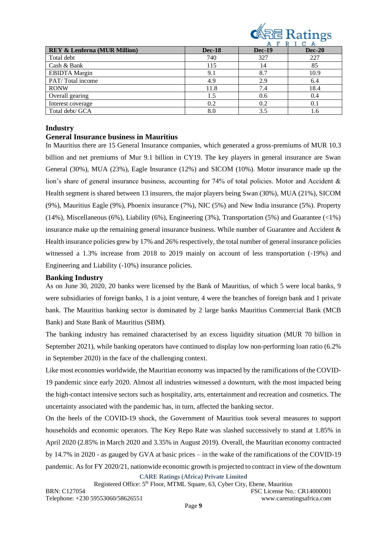

| <b>REY &amp; Lenferna (MUR Million)</b> | <b>Dec-18</b> | <b>Dec-19</b> | <b>Dec-20</b> |
|-----------------------------------------|---------------|---------------|---------------|
| Total debt                              | 740           | 327           | 227           |
| Cash & Bank                             | 115           | 14            | 85            |
| <b>EBIDTA</b> Margin                    | 9.1           | 8.7           | 10.9          |
| PAT/Total income                        | 4.9           | 2.9           | 6.4           |
| <b>RONW</b>                             | 11.8          | 7.4           | 18.4          |
| Overall gearing                         | 1.5           | 0.6           | 0.4           |
| Interest coverage                       | 0.2           | 0.2           | 0.1           |
| Total debt/ GCA                         | 8.0           | 3.5           | 1.6           |

#### **Industry**

#### **General Insurance business in Mauritius**

In Mauritius there are 15 General Insurance companies, which generated a gross-premiums of MUR 10.3 billion and net premiums of Mur 9.1 billion in CY19. The key players in general insurance are Swan General (30%), MUA (23%), Eagle Insurance (12%) and SICOM (10%). Motor insurance made up the lion's share of general insurance business, accounting for 74% of total policies. Motor and Accident & Health segment is shared between 13 insurers, the major players being Swan (30%), MUA (21%), SICOM (9%), Mauritius Eagle (9%), Phoenix insurance (7%), NIC (5%) and New India insurance (5%). Property (14%), Miscellaneous (6%), Liability (6%), Engineering (3%), Transportation (5%) and Guarantee (<1%) insurance make up the remaining general insurance business. While number of Guarantee and Accident  $\&$ Health insurance policies grew by 17% and 26% respectively, the total number of general insurance policies witnessed a 1.3% increase from 2018 to 2019 mainly on account of less transportation (-19%) and Engineering and Liability (-10%) insurance policies.

#### **Banking Industry**

As on June 30, 2020, 20 banks were licensed by the Bank of Mauritius, of which 5 were local banks, 9 were subsidiaries of foreign banks, 1 is a joint venture, 4 were the branches of foreign bank and 1 private bank. The Mauritius banking sector is dominated by 2 large banks Mauritius Commercial Bank (MCB Bank) and State Bank of Mauritius (SBM).

The banking industry has remained characterised by an excess liquidity situation (MUR 70 billion in September 2021), while banking operators have continued to display low non-performing loan ratio (6.2% in September 2020) in the face of the challenging context.

Like most economies worldwide, the Mauritian economy was impacted by the ramifications of the COVID-19 pandemic since early 2020. Almost all industries witnessed a downturn, with the most impacted being the high-contact intensive sectors such as hospitality, arts, entertainment and recreation and cosmetics. The uncertainty associated with the pandemic has, in turn, affected the banking sector.

On the heels of the COVID-19 shock, the Government of Mauritius took several measures to support households and economic operators. The Key Repo Rate was slashed successively to stand at 1.85% in April 2020 (2.85% in March 2020 and 3.35% in August 2019). Overall, the Mauritian economy contracted by 14.7% in 2020 - as gauged by GVA at basic prices – in the wake of the ramifications of the COVID-19 pandemic. As for FY 2020/21, nationwide economic growth is projected to contract in view of the downturn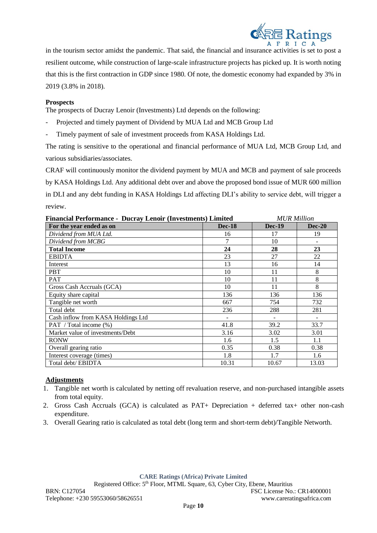

in the tourism sector amidst the pandemic. That said, the financial and insurance activities is set to post a resilient outcome, while construction of large-scale infrastructure projects has picked up. It is worth noting that this is the first contraction in GDP since 1980. Of note, the domestic economy had expanded by 3% in 2019 (3.8% in 2018).

#### **Prospects**

The prospects of Ducray Lenoir (Investments) Ltd depends on the following:

- Projected and timely payment of Dividend by MUA Ltd and MCB Group Ltd
- Timely payment of sale of investment proceeds from KASA Holdings Ltd.

The rating is sensitive to the operational and financial performance of MUA Ltd, MCB Group Ltd, and various subsidiaries/associates.

CRAF will continuously monitor the dividend payment by MUA and MCB and payment of sale proceeds by KASA Holdings Ltd. Any additional debt over and above the proposed bond issue of MUR 600 million in DLI and any debt funding in KASA Holdings Ltd affecting DLI's ability to service debt, will trigger a review.

| <b>Financial Performance - Ducray Lenoir (Investments) Limited</b> | <b>MUR</b> Million |               |          |
|--------------------------------------------------------------------|--------------------|---------------|----------|
| For the year ended as on                                           | <b>Dec-18</b>      | <b>Dec-19</b> | $Dec-20$ |
| Dividend from MUA Ltd.                                             | 16                 | 17            | 19       |
| Dividend from MCBG                                                 | 7                  | 10            |          |
| <b>Total Income</b>                                                | 24                 | 28            | 23       |
| <b>EBIDTA</b>                                                      | 23                 | 27            | 22       |
| Interest                                                           | 13                 | 16            | 14       |
| <b>PBT</b>                                                         | 10                 | 11            | 8        |
| <b>PAT</b>                                                         | 10                 | 11            | 8        |
| Gross Cash Accruals (GCA)                                          | 10                 | 11            | 8        |
| Equity share capital                                               | 136                | 136           | 136      |
| Tangible net worth                                                 | 667                | 754           | 732      |
| Total debt                                                         | 236                | 288           | 281      |
| Cash inflow from KASA Holdings Ltd                                 |                    |               |          |
| PAT / Total income (%)                                             | 41.8               | 39.2          | 33.7     |
| Market value of investments/Debt                                   | 3.16               | 3.02          | 3.01     |
| <b>RONW</b>                                                        | 1.6                | 1.5           | 1.1      |
| Overall gearing ratio                                              | 0.35               | 0.38          | 0.38     |
| Interest coverage (times)                                          | 1.8                | 1.7           | 1.6      |
| Total debt/EBIDTA                                                  | 10.31              | 10.67         | 13.03    |

#### **Adjustments**

- 1. Tangible net worth is calculated by netting off revaluation reserve, and non-purchased intangible assets from total equity.
- 2. Gross Cash Accruals (GCA) is calculated as PAT+ Depreciation + deferred tax+ other non-cash expenditure.
- 3. Overall Gearing ratio is calculated as total debt (long term and short-term debt)/Tangible Networth.

**CARE Ratings (Africa) Private Limited**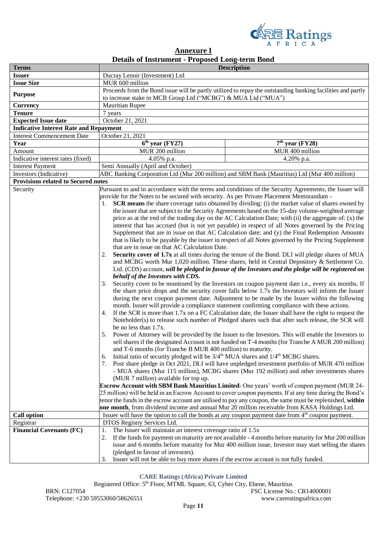

| <b>Annexure I</b>                                      |  |  |
|--------------------------------------------------------|--|--|
| <b>Details of Instrument - Proposed Long-term Bond</b> |  |  |

| <b>Issuer</b><br>Ducray Lenoir (Investment) Ltd<br><b>Issue Size</b><br>MUR 600 million<br>Proceeds from the Bond issue will be partly utilized to repay the outstanding banking facilities and partly          | <b>Terms</b>   |
|-----------------------------------------------------------------------------------------------------------------------------------------------------------------------------------------------------------------|----------------|
|                                                                                                                                                                                                                 |                |
|                                                                                                                                                                                                                 |                |
| to increase stake in MCB Group Ltd ("MCBG") & MUA Ltd ("MUA")                                                                                                                                                   | <b>Purpose</b> |
| <b>Mauritian Rupee</b><br><b>Currency</b>                                                                                                                                                                       |                |
| <b>Tenure</b><br>7 years                                                                                                                                                                                        |                |
| October 21, 2021<br><b>Expected Issue date</b>                                                                                                                                                                  |                |
| <b>Indicative Interest Rate and Repayment</b>                                                                                                                                                                   |                |
| <b>Interest Commencement Date</b><br>October 21, 2021                                                                                                                                                           |                |
| $\overline{6^{th}}$ year (FY27)<br>$7th$ year (FY28)<br>Year                                                                                                                                                    |                |
| MUR 400 million<br>MUR 200 million<br>Amount                                                                                                                                                                    |                |
| 4.05% p.a.<br>4.20% p.a.<br>Indicative interest rates (fixed)                                                                                                                                                   |                |
| <b>Interest Payment</b><br>Semi Annually (April and October)                                                                                                                                                    |                |
| Investors (Indicative)<br>ABC Banking Corporation Ltd (Mur 200 million) and SBM Bank (Mauritius) Ltd (Mur 400 million)                                                                                          |                |
| <b>Provisions related to Secured notes</b>                                                                                                                                                                      |                |
| Security<br>Pursuant to and in accordance with the terms and conditions of the Security Agreements, the Issuer will                                                                                             |                |
| provide for the Notes to be secured with security. As per Private Placement Memorandum -                                                                                                                        |                |
| <b>SCR means</b> the share coverage ratio obtained by dividing: (i) the market value of shares owned by                                                                                                         |                |
| the issuer that are subject to the Security Agreements based on the 15-day volume-weighted average                                                                                                              |                |
| price as at the end of the trading day on the AC Calculation Date; with (ii) the aggregate of: (x) the                                                                                                          |                |
| interest that has accrued (but is not yet payable) in respect of all Notes governed by the Pricing                                                                                                              |                |
| Supplement that are in issue on that AC Calculation date; and (y) the Final Redemption Amounts                                                                                                                  |                |
| that is likely to be payable by the issuer in respect of all Notes governed by the Pricing Supplement                                                                                                           |                |
| that are in issue on that AC Calculation Date.                                                                                                                                                                  |                |
| Security cover of 1.7x at all times during the tenure of the Bond. DLI will pledge shares of MUA<br>2.                                                                                                          |                |
| and MCBG worth Mur 1,020 million. These shares, held in Central Depository & Settlement Co.                                                                                                                     |                |
| Ltd. (CDS) account, will be pledged in favour of the Investors and the pledge will be registered on                                                                                                             |                |
| behalf of the Investors with CDS.<br>3.<br>Security cover to be monitored by the Investors on coupon payment date i.e., every six months. If                                                                    |                |
| the share price drops and the security cover falls below 1.7x the Investors will inform the Issuer<br>during the next coupon payment date. Adjustment to be made by the Issuer within the following             |                |
| month. Issuer will provide a compliance statement confirming compliance with these actions.                                                                                                                     |                |
| 4. If the SCR is more than 1.7x on a FC Calculation date, the Issuer shall have the right to request the                                                                                                        |                |
| Noteholder(s) to release such number of Pledged shares such that after such release, the SCR will<br>be no less than 1.7x.                                                                                      |                |
| Power of Attorney will be provided by the Issuer to the Investors. This will enable the Investors to<br>5.<br>sell shares if the designated Account is not funded on T-4 months (for Tranche A MUR 200 million) |                |
| and T-6 months (for Tranche B MUR 400 million) to maturity.                                                                                                                                                     |                |
| Initial ratio of security pledged will be 3/4 <sup>th</sup> MUA shares and 1/4 <sup>th</sup> MCBG shares.<br>6.                                                                                                 |                |
| Post share pledge in Oct 2021, DLI will have unpledged investment portfolio of MUR 470 million<br>- MUA shares (Mur 115 million), MCBG shares (Mur 192 million) and other investments shares                    |                |
| (MUR 7 million) available for top up.                                                                                                                                                                           |                |
| <b>Escrow Account with SBM Bank Mauritius Limited-</b> One years' worth of coupon payment (MUR 24-                                                                                                              |                |
| 25 million) will be held in an Escrow Account to cover coupon payments. If at any time during the Bond's                                                                                                        |                |
| tenor the funds in the escrow account are utilised to pay any coupon, the same must be replenished, within                                                                                                      |                |
| one month, from dividend income and annual Mur 20 million receivable from KASA Holdings Ltd.                                                                                                                    |                |
| Issuer will have the option to call the bonds at any coupon payment date from 4 <sup>th</sup> coupon payment.<br><b>Call option</b>                                                                             |                |
| DTOS Registry Services Ltd.<br>Registrar                                                                                                                                                                        |                |
| <b>Financial Covenants (FC)</b><br>1.<br>The Issuer will maintain an interest coverage ratio of 1.5x                                                                                                            |                |
| If the funds for payment on maturity are not available - 4 months before maturity for Mur 200 million<br>2.                                                                                                     |                |
| issue and 6 months before maturity for Mur 400 million issue, Investor may start selling the shares                                                                                                             |                |
| (pledged in favour of investors).                                                                                                                                                                               |                |
| Issuer will not be able to buy more shares if the escrow account is not fully funded.<br>3.                                                                                                                     |                |

**CARE Ratings (Africa) Private Limited**